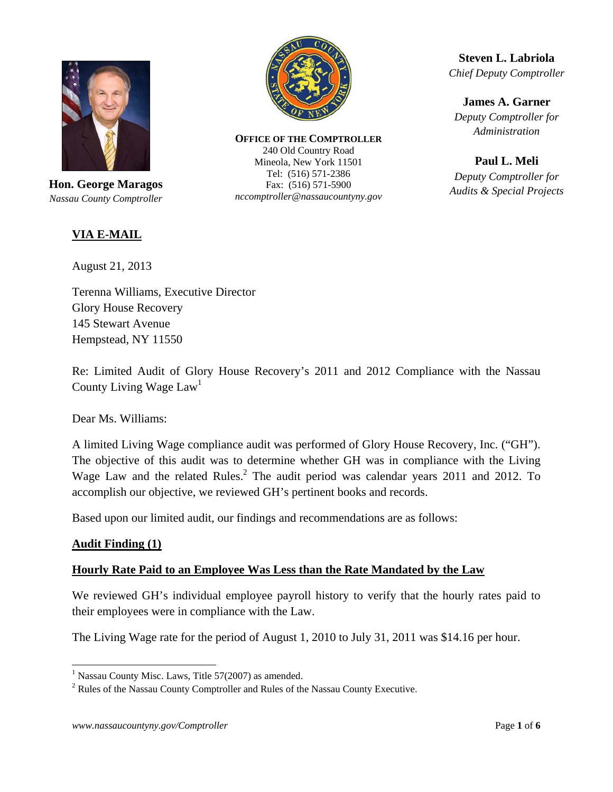

**Hon. George Maragos**  *Nassau County Comptroller* 

# **VIA E-MAIL**

August 21, 2013

Terenna Williams, Executive Director Glory House Recovery 145 Stewart Avenue Hempstead, NY 11550

Re: Limited Audit of Glory House Recovery's 2011 and 2012 Compliance with the Nassau County Living Wage Law<sup>1</sup>

Dear Ms. Williams:

A limited Living Wage compliance audit was performed of Glory House Recovery, Inc. ("GH"). The objective of this audit was to determine whether GH was in compliance with the Living Wage Law and the related Rules. $^2$  The audit period was calendar years 2011 and 2012. To accomplish our objective, we reviewed GH's pertinent books and records.

Based upon our limited audit, our findings and recommendations are as follows:

# **Audit Finding (1)**

# **Hourly Rate Paid to an Employee Was Less than the Rate Mandated by the Law**

We reviewed GH's individual employee payroll history to verify that the hourly rates paid to their employees were in compliance with the Law.

The Living Wage rate for the period of August 1, 2010 to July 31, 2011 was \$14.16 per hour.



**OFFICE OF THE COMPTROLLER** 240 Old Country Road Mineola, New York 11501 Tel: (516) 571-2386 Fax: (516) 571-5900 *nccomptroller@nassaucountyny.gov* 

**Steven L. Labriola**  *Chief Deputy Comptroller* 

**James A. Garner**  *Deputy Comptroller for Administration* 

**Paul L. Meli** 

*Deputy Comptroller for Audits & Special Projects*

 1 Nassau County Misc. Laws, Title 57(2007) as amended.

<sup>&</sup>lt;sup>2</sup> Rules of the Nassau County Comptroller and Rules of the Nassau County Executive.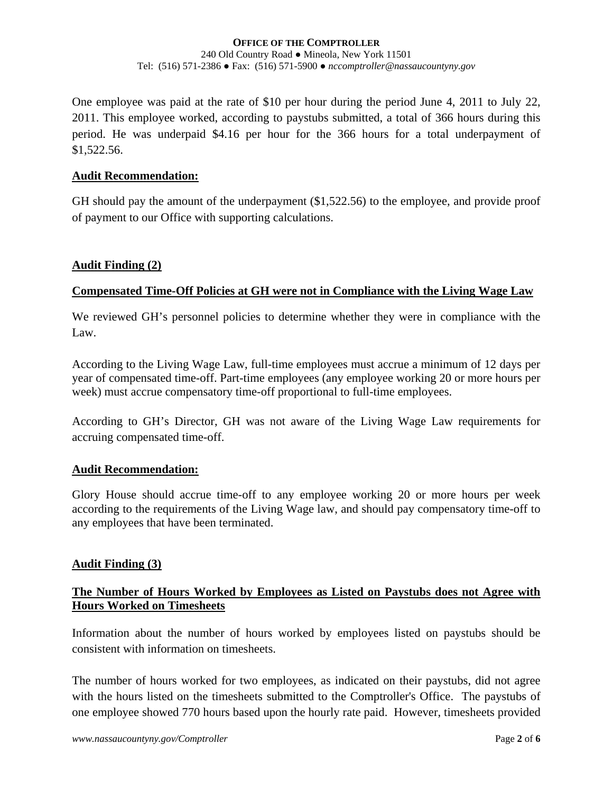One employee was paid at the rate of \$10 per hour during the period June 4, 2011 to July 22, 2011. This employee worked, according to paystubs submitted, a total of 366 hours during this period. He was underpaid \$4.16 per hour for the 366 hours for a total underpayment of \$1,522.56.

### **Audit Recommendation:**

GH should pay the amount of the underpayment (\$1,522.56) to the employee, and provide proof of payment to our Office with supporting calculations.

### **Audit Finding (2)**

# **Compensated Time-Off Policies at GH were not in Compliance with the Living Wage Law**

We reviewed GH's personnel policies to determine whether they were in compliance with the Law.

According to the Living Wage Law, full-time employees must accrue a minimum of 12 days per year of compensated time-off. Part-time employees (any employee working 20 or more hours per week) must accrue compensatory time-off proportional to full-time employees.

According to GH's Director, GH was not aware of the Living Wage Law requirements for accruing compensated time-off.

# **Audit Recommendation:**

Glory House should accrue time-off to any employee working 20 or more hours per week according to the requirements of the Living Wage law, and should pay compensatory time-off to any employees that have been terminated.

# **Audit Finding (3)**

# **The Number of Hours Worked by Employees as Listed on Paystubs does not Agree with Hours Worked on Timesheets**

Information about the number of hours worked by employees listed on paystubs should be consistent with information on timesheets.

The number of hours worked for two employees, as indicated on their paystubs, did not agree with the hours listed on the timesheets submitted to the Comptroller's Office. The paystubs of one employee showed 770 hours based upon the hourly rate paid. However, timesheets provided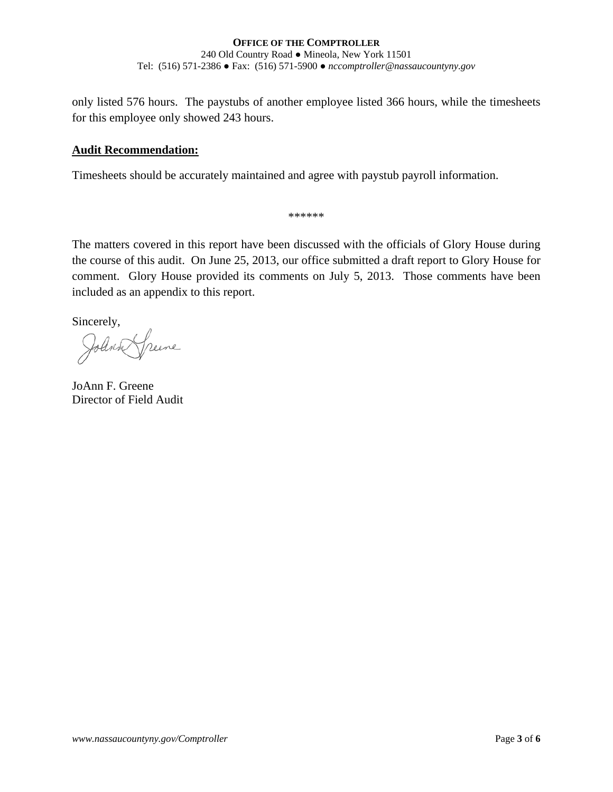only listed 576 hours. The paystubs of another employee listed 366 hours, while the timesheets for this employee only showed 243 hours.

# **Audit Recommendation:**

Timesheets should be accurately maintained and agree with paystub payroll information.

\*\*\*\*\*\*

The matters covered in this report have been discussed with the officials of Glory House during the course of this audit. On June 25, 2013, our office submitted a draft report to Glory House for comment. Glory House provided its comments on July 5, 2013. Those comments have been included as an appendix to this report.

Sincerely,

Reene

JoAnn F. Greene Director of Field Audit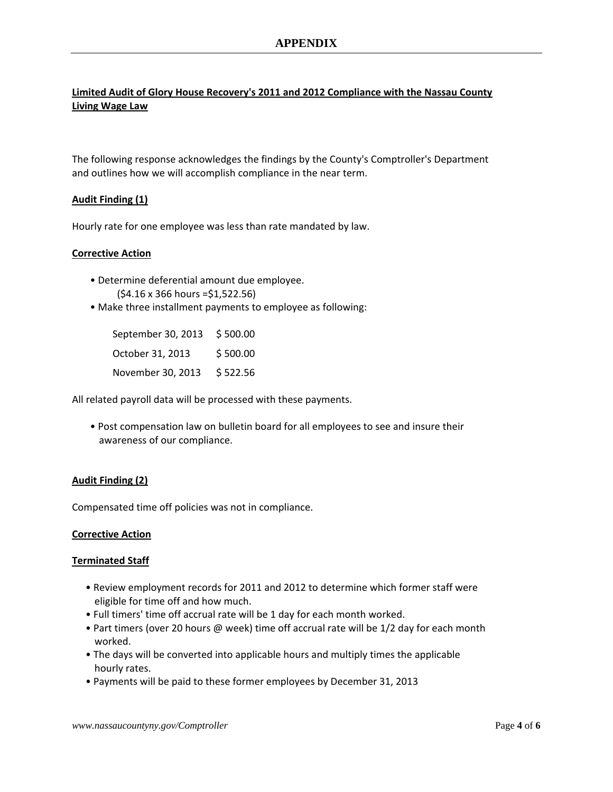## **Limited Audit of Glory House Recovery's 2011 and 2012 Compliance with the Nassau County Living Wage Law**

The following response acknowledges the findings by the County's Comptroller's Department and outlines how we will accomplish compliance in the near term.

### **Audit Finding (1)**

Hourly rate for one employee was less than rate mandated by law.

### **Corrective Action**

- Determine deferential amount due employee. (\$4.16 x 366 hours =\$1,522.56)
- Make three installment payments to employee as following:

| September 30, 2013 | \$500.00 |
|--------------------|----------|
| October 31, 2013   | \$500.00 |
| November 30, 2013  | \$522.56 |

All related payroll data will be processed with these payments.

• Post compensation law on bulletin board for all employees to see and insure their awareness of our compliance.

### **Audit Finding (2)**

Compensated time off policies was not in compliance.

#### **Corrective Action**

#### **Terminated Staff**

- Review employment records for 2011 and 2012 to determine which former staff were eligible for time off and how much.
- Full timers' time off accrual rate will be 1 day for each month worked.
- Part timers (over 20 hours @ week) time off accrual rate will be 1/2 day for each month worked.
- The days will be converted into applicable hours and multiply times the applicable hourly rates.
- Payments will be paid to these former employees by December 31, 2013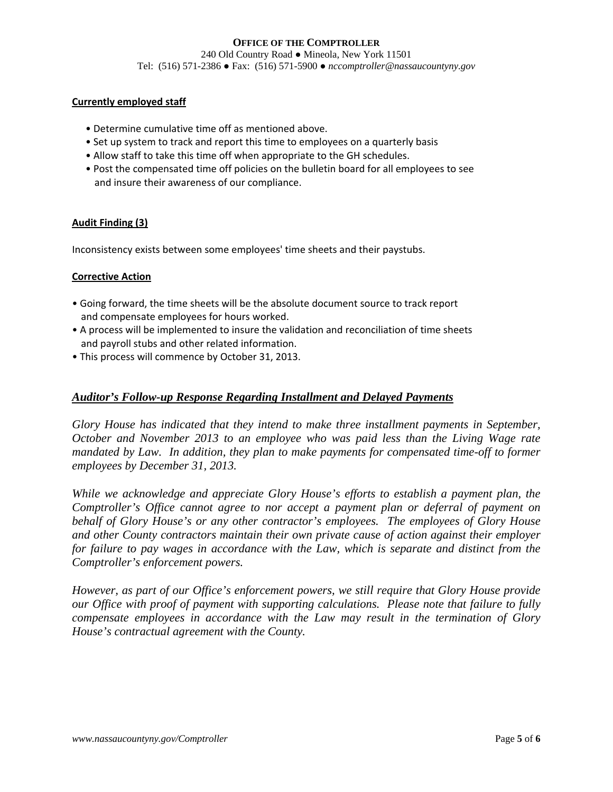#### **Currently employed staff**

- Determine cumulative time off as mentioned above.
- Set up system to track and report this time to employees on a quarterly basis
- Allow staff to take this time off when appropriate to the GH schedules.
- Post the compensated time off policies on the bulletin board for all employees to see and insure their awareness of our compliance.

#### **Audit Finding (3)**

Inconsistency exists between some employees' time sheets and their paystubs.

#### **Corrective Action**

- Going forward, the time sheets will be the absolute document source to track report and compensate employees for hours worked.
- A process will be implemented to insure the validation and reconciliation of time sheets and payroll stubs and other related information.
- This process will commence by October 31, 2013.

### *Auditor's Follow-up Response Regarding Installment and Delayed Payments*

*Glory House has indicated that they intend to make three installment payments in September, October and November 2013 to an employee who was paid less than the Living Wage rate mandated by Law. In addition, they plan to make payments for compensated time-off to former employees by December 31, 2013.* 

*While we acknowledge and appreciate Glory House's efforts to establish a payment plan, the Comptroller's Office cannot agree to nor accept a payment plan or deferral of payment on behalf of Glory House's or any other contractor's employees. The employees of Glory House and other County contractors maintain their own private cause of action against their employer for failure to pay wages in accordance with the Law, which is separate and distinct from the Comptroller's enforcement powers.* 

*However, as part of our Office's enforcement powers, we still require that Glory House provide our Office with proof of payment with supporting calculations. Please note that failure to fully compensate employees in accordance with the Law may result in the termination of Glory House's contractual agreement with the County.*